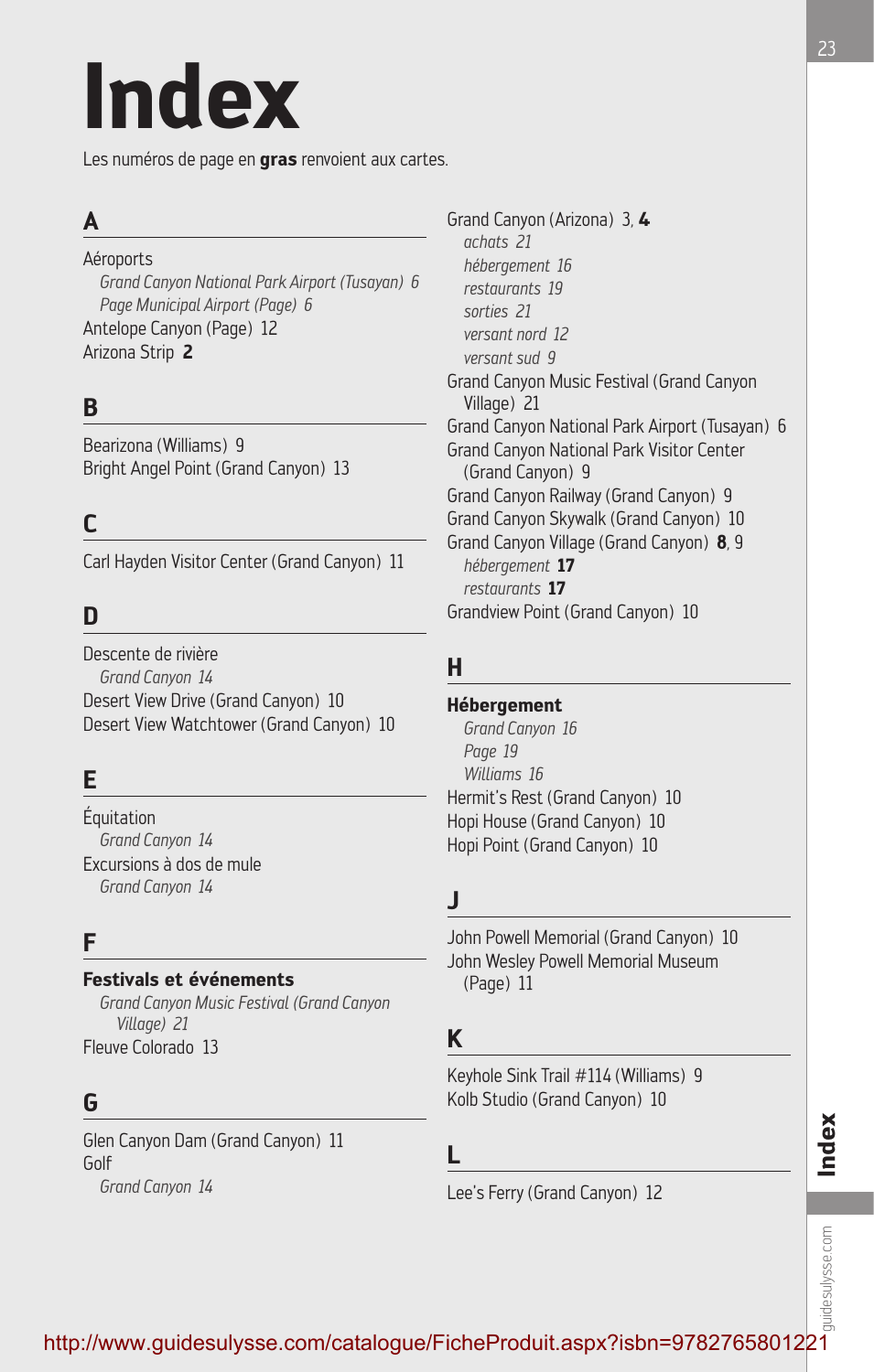# **Index**

Les numéros de page en **gras** renvoient aux cartes.

# **A**

Aéroports *Grand Canyon National Park Airport (Tusayan) 6 Page Municipal Airport (Page) 6* Antelope Canyon (Page) 12 Arizona Strip **2**

# **B**

Bearizona (Williams) 9 Bright Angel Point (Grand Canyon) 13

# **C**

Carl Hayden Visitor Center (Grand Canyon) 11

# **D**

Descente de rivière *Grand Canyon 14* Desert View Drive (Grand Canyon) 10 Desert View Watchtower (Grand Canyon) 10

# **E**

Équitation *Grand Canyon 14* Excursions à dos de mule *Grand Canyon 14*

## **F**

### **Festivals et événements**

*Grand Canyon Music Festival (Grand Canyon Village) 21* Fleuve Colorado 13

# **G**

Glen Canyon Dam (Grand Canyon) 11 Golf *Grand Canyon 14*

Grand Canyon (Arizona) 3*,* **4** *achats 21 hébergement 16 restaurants 19 sorties 21 versant nord 12 versant sud 9* Grand Canyon Music Festival (Grand Canyon Village) 21 Grand Canyon National Park Airport (Tusayan) 6 Grand Canyon National Park Visitor Center (Grand Canyon) 9 Grand Canyon Railway (Grand Canyon) 9 Grand Canyon Skywalk (Grand Canyon) 10 Grand Canyon Village (Grand Canyon) **8***,* 9 *hébergement* **17** *restaurants* **17** Grandview Point (Grand Canyon) 10

# **H**

### **Hébergement**

*Grand Canyon 16 Page 19 Williams 16* Hermit's Rest (Grand Canyon) 10 Hopi House (Grand Canyon) 10 Hopi Point (Grand Canyon) 10

# **J**

John Powell Memorial (Grand Canyon) 10 John Wesley Powell Memorial Museum (Page) 11

### **K**

Keyhole Sink Trail #114 (Williams) 9 Kolb Studio (Grand Canyon) 10

**L**

Lee's Ferry (Grand Canyon) 12

# auidesulysse.com guidesulysse.com